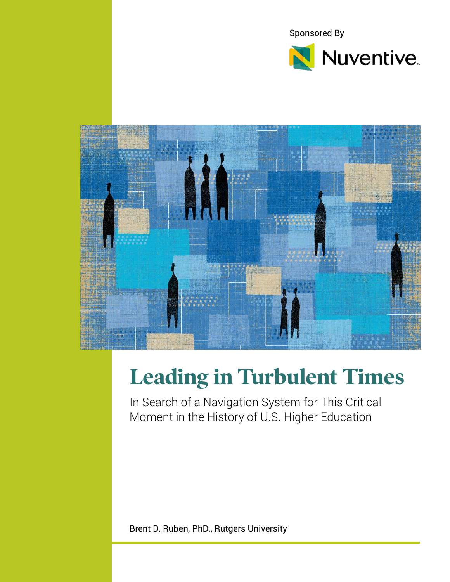



# **Leading in Turbulent Times**

In Search of a Navigation System for This Critical Moment in the History of U.S. Higher Education

Brent D. Ruben, PhD., Rutgers University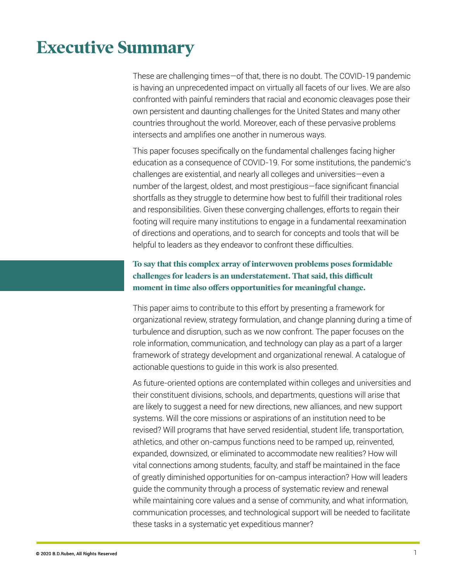## **Executive Summary**

These are challenging times—of that, there is no doubt. The COVID-19 pandemic is having an unprecedented impact on virtually all facets of our lives. We are also confronted with painful reminders that racial and economic cleavages pose their own persistent and daunting challenges for the United States and many other countries throughout the world. Moreover, each of these pervasive problems intersects and amplifies one another in numerous ways.

This paper focuses specifically on the fundamental challenges facing higher education as a consequence of COVID-19. For some institutions, the pandemic's challenges are existential, and nearly all colleges and universities—even a number of the largest, oldest, and most prestigious—face significant financial shortfalls as they struggle to determine how best to fulfill their traditional roles and responsibilities. Given these converging challenges, efforts to regain their footing will require many institutions to engage in a fundamental reexamination of directions and operations, and to search for concepts and tools that will be helpful to leaders as they endeavor to confront these difficulties.

### **To say that this complex array of interwoven problems poses formidable challenges for leaders is an understatement. That said, this difficult moment in time also offers opportunities for meaningful change.**

This paper aims to contribute to this effort by presenting a framework for organizational review, strategy formulation, and change planning during a time of turbulence and disruption, such as we now confront. The paper focuses on the role information, communication, and technology can play as a part of a larger framework of strategy development and organizational renewal. A catalogue of actionable questions to guide in this work is also presented.

As future-oriented options are contemplated within colleges and universities and their constituent divisions, schools, and departments, questions will arise that are likely to suggest a need for new directions, new alliances, and new support systems. Will the core missions or aspirations of an institution need to be revised? Will programs that have served residential, student life, transportation, athletics, and other on-campus functions need to be ramped up, reinvented, expanded, downsized, or eliminated to accommodate new realities? How will vital connections among students, faculty, and staff be maintained in the face of greatly diminished opportunities for on-campus interaction? How will leaders guide the community through a process of systematic review and renewal while maintaining core values and a sense of community, and what information, communication processes, and technological support will be needed to facilitate these tasks in a systematic yet expeditious manner?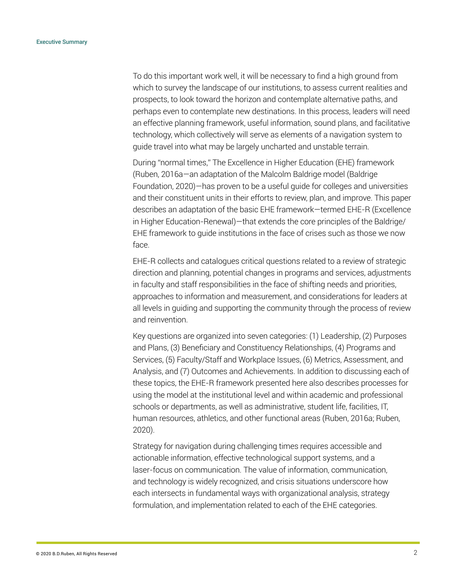To do this important work well, it will be necessary to find a high ground from which to survey the landscape of our institutions, to assess current realities and prospects, to look toward the horizon and contemplate alternative paths, and perhaps even to contemplate new destinations. In this process, leaders will need an effective planning framework, useful information, sound plans, and facilitative technology, which collectively will serve as elements of a navigation system to guide travel into what may be largely uncharted and unstable terrain.

During "normal times," The Excellence in Higher Education (EHE) framework (Ruben, 2016a—an adaptation of the Malcolm Baldrige model (Baldrige Foundation, 2020)—has proven to be a useful guide for colleges and universities and their constituent units in their efforts to review, plan, and improve. This paper describes an adaptation of the basic EHE framework—termed EHE-R (Excellence in Higher Education-Renewal)—that extends the core principles of the Baldrige/ EHE framework to guide institutions in the face of crises such as those we now face.

EHE-R collects and catalogues critical questions related to a review of strategic direction and planning, potential changes in programs and services, adjustments in faculty and staff responsibilities in the face of shifting needs and priorities, approaches to information and measurement, and considerations for leaders at all levels in guiding and supporting the community through the process of review and reinvention.

Key questions are organized into seven categories: (1) Leadership, (2) Purposes and Plans, (3) Beneficiary and Constituency Relationships, (4) Programs and Services, (5) Faculty/Staff and Workplace Issues, (6) Metrics, Assessment, and Analysis, and (7) Outcomes and Achievements. In addition to discussing each of these topics, the EHE-R framework presented here also describes processes for using the model at the institutional level and within academic and professional schools or departments, as well as administrative, student life, facilities, IT, human resources, athletics, and other functional areas (Ruben, 2016a; Ruben, 2020).

Strategy for navigation during challenging times requires accessible and actionable information, effective technological support systems, and a laser-focus on communication. The value of information, communication, and technology is widely recognized, and crisis situations underscore how each intersects in fundamental ways with organizational analysis, strategy formulation, and implementation related to each of the EHE categories.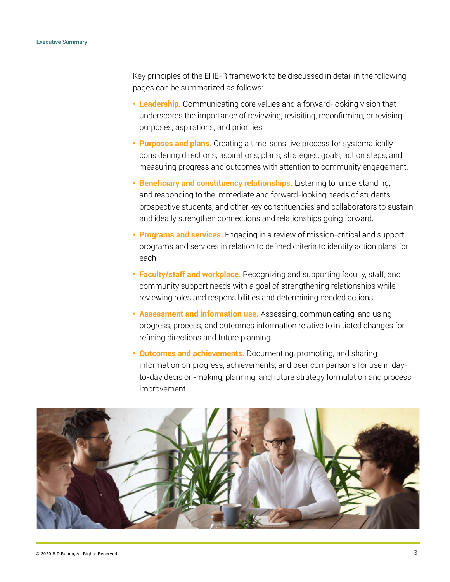Key principles of the EHE-R framework to be discussed in detail in the following pages can be summarized as follows:

- **Leadership.** Communicating core values and a forward-looking vision that underscores the importance of reviewing, revisiting, reconfirming, or revising purposes, aspirations, and priorities.
- **Purposes and plans.** Creating a time-sensitive process for systematically considering directions, aspirations, plans, strategies, goals, action steps, and measuring progress and outcomes with attention to community engagement.
- **Beneficiary and constituency relationships.** Listening to, understanding, and responding to the immediate and forward-looking needs of students, prospective students, and other key constituencies and collaborators to sustain and ideally strengthen connections and relationships going forward.
- **Programs and services.** Engaging in a review of mission-critical and support programs and services in relation to defined criteria to identify action plans for each.
- **Faculty/staff and workplace.** Recognizing and supporting faculty, staff, and community support needs with a goal of strengthening relationships while reviewing roles and responsibilities and determining needed actions.
- **Assessment and information use.** Assessing, communicating, and using progress, process, and outcomes information relative to initiated changes for refining directions and future planning.
- **Outcomes and achievements.** Documenting, promoting, and sharing information on progress, achievements, and peer comparisons for use in dayto-day decision-making, planning, and future strategy formulation and process improvement.

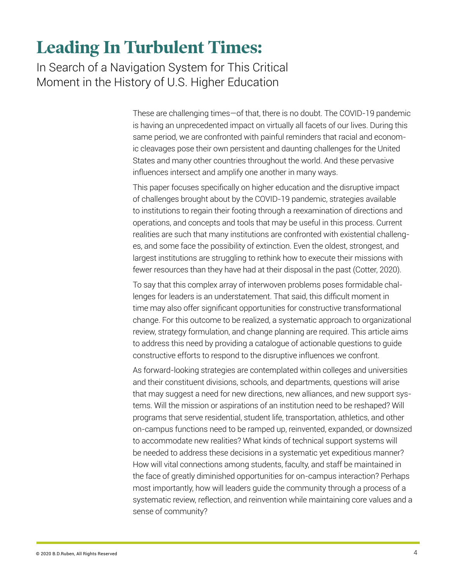## **Leading In Turbulent Times:**

In Search of a Navigation System for This Critical Moment in the History of U.S. Higher Education

> These are challenging times—of that, there is no doubt. The COVID-19 pandemic is having an unprecedented impact on virtually all facets of our lives. During this same period, we are confronted with painful reminders that racial and economic cleavages pose their own persistent and daunting challenges for the United States and many other countries throughout the world. And these pervasive influences intersect and amplify one another in many ways.

> This paper focuses specifically on higher education and the disruptive impact of challenges brought about by the COVID-19 pandemic, strategies available to institutions to regain their footing through a reexamination of directions and operations, and concepts and tools that may be useful in this process. Current realities are such that many institutions are confronted with existential challenges, and some face the possibility of extinction. Even the oldest, strongest, and largest institutions are struggling to rethink how to execute their missions with fewer resources than they have had at their disposal in the past (Cotter, 2020).

> To say that this complex array of interwoven problems poses formidable challenges for leaders is an understatement. That said, this difficult moment in time may also offer significant opportunities for constructive transformational change. For this outcome to be realized, a systematic approach to organizational review, strategy formulation, and change planning are required. This article aims to address this need by providing a catalogue of actionable questions to guide constructive efforts to respond to the disruptive influences we confront.

> As forward-looking strategies are contemplated within colleges and universities and their constituent divisions, schools, and departments, questions will arise that may suggest a need for new directions, new alliances, and new support systems. Will the mission or aspirations of an institution need to be reshaped? Will programs that serve residential, student life, transportation, athletics, and other on-campus functions need to be ramped up, reinvented, expanded, or downsized to accommodate new realities? What kinds of technical support systems will be needed to address these decisions in a systematic yet expeditious manner? How will vital connections among students, faculty, and staff be maintained in the face of greatly diminished opportunities for on-campus interaction? Perhaps most importantly, how will leaders guide the community through a process of a systematic review, reflection, and reinvention while maintaining core values and a sense of community?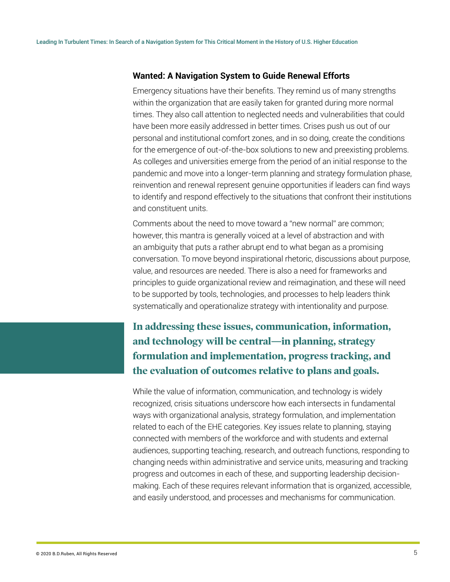### **Wanted: A Navigation System to Guide Renewal Efforts**

Emergency situations have their benefits. They remind us of many strengths within the organization that are easily taken for granted during more normal times. They also call attention to neglected needs and vulnerabilities that could have been more easily addressed in better times. Crises push us out of our personal and institutional comfort zones, and in so doing, create the conditions for the emergence of out-of-the-box solutions to new and preexisting problems. As colleges and universities emerge from the period of an initial response to the pandemic and move into a longer-term planning and strategy formulation phase, reinvention and renewal represent genuine opportunities if leaders can find ways to identify and respond effectively to the situations that confront their institutions and constituent units.

Comments about the need to move toward a "new normal" are common; however, this mantra is generally voiced at a level of abstraction and with an ambiguity that puts a rather abrupt end to what began as a promising conversation. To move beyond inspirational rhetoric, discussions about purpose, value, and resources are needed. There is also a need for frameworks and principles to guide organizational review and reimagination, and these will need to be supported by tools, technologies, and processes to help leaders think systematically and operationalize strategy with intentionality and purpose.

**In addressing these issues, communication, information, and technology will be central—in planning, strategy formulation and implementation, progress tracking, and the evaluation of outcomes relative to plans and goals.** 

While the value of information, communication, and technology is widely recognized, crisis situations underscore how each intersects in fundamental ways with organizational analysis, strategy formulation, and implementation related to each of the EHE categories. Key issues relate to planning, staying connected with members of the workforce and with students and external audiences, supporting teaching, research, and outreach functions, responding to changing needs within administrative and service units, measuring and tracking progress and outcomes in each of these, and supporting leadership decisionmaking. Each of these requires relevant information that is organized, accessible, and easily understood, and processes and mechanisms for communication.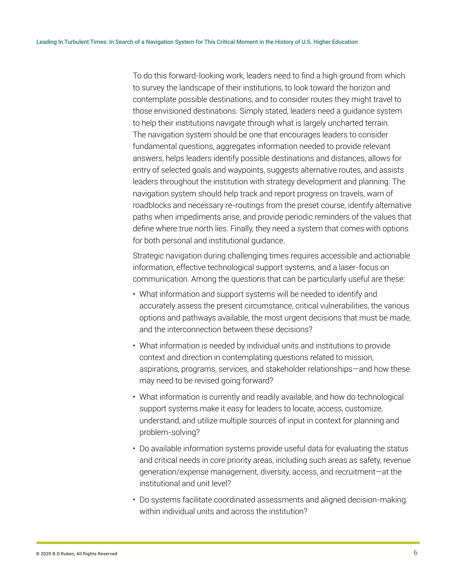To do this forward-looking work, leaders need to find a high ground from which to survey the landscape of their institutions, to look toward the horizon and contemplate possible destinations, and to consider routes they might travel to those envisioned destinations. Simply stated, leaders need a guidance system to help their institutions navigate through what is largely uncharted terrain. The navigation system should be one that encourages leaders to consider fundamental questions, aggregates information needed to provide relevant answers, helps leaders identify possible destinations and distances, allows for entry of selected goals and waypoints, suggests alternative routes, and assists leaders throughout the institution with strategy development and planning. The navigation system should help track and report progress on travels, warn of roadblocks and necessary re-routings from the preset course, identify alternative paths when impediments arise, and provide periodic reminders of the values that define where true north lies. Finally, they need a system that comes with options for both personal and institutional guidance.

Strategic navigation during challenging times requires accessible and actionable information, effective technological support systems, and a laser-focus on communication. Among the questions that can be particularly useful are these:

- What information and support systems will be needed to identify and accurately assess the present circumstance, critical vulnerabilities, the various options and pathways available, the most urgent decisions that must be made, and the interconnection between these decisions?
- What information is needed by individual units and institutions to provide context and direction in contemplating questions related to mission, aspirations, programs, services, and stakeholder relationships—and how these may need to be revised going forward?
- What information is currently and readily available, and how do technological support systems make it easy for leaders to locate, access, customize, understand, and utilize multiple sources of input in context for planning and problem-solving?
- Do available information systems provide useful data for evaluating the status and critical needs in core priority areas, including such areas as safety, revenue generation/expense management, diversity, access, and recruitment—at the institutional and unit level?
- Do systems facilitate coordinated assessments and aligned decision-making within individual units and across the institution?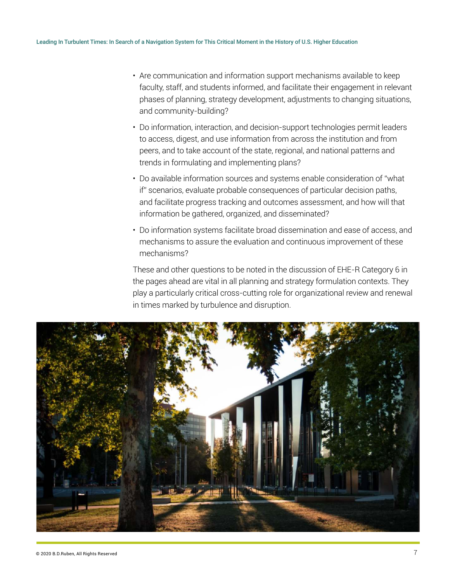- Are communication and information support mechanisms available to keep faculty, staff, and students informed, and facilitate their engagement in relevant phases of planning, strategy development, adjustments to changing situations, and community-building?
- Do information, interaction, and decision-support technologies permit leaders to access, digest, and use information from across the institution and from peers, and to take account of the state, regional, and national patterns and trends in formulating and implementing plans?
- Do available information sources and systems enable consideration of "what if" scenarios, evaluate probable consequences of particular decision paths, and facilitate progress tracking and outcomes assessment, and how will that information be gathered, organized, and disseminated?
- Do information systems facilitate broad dissemination and ease of access, and mechanisms to assure the evaluation and continuous improvement of these mechanisms?

These and other questions to be noted in the discussion of EHE-R Category 6 in the pages ahead are vital in all planning and strategy formulation contexts. They play a particularly critical cross-cutting role for organizational review and renewal in times marked by turbulence and disruption.

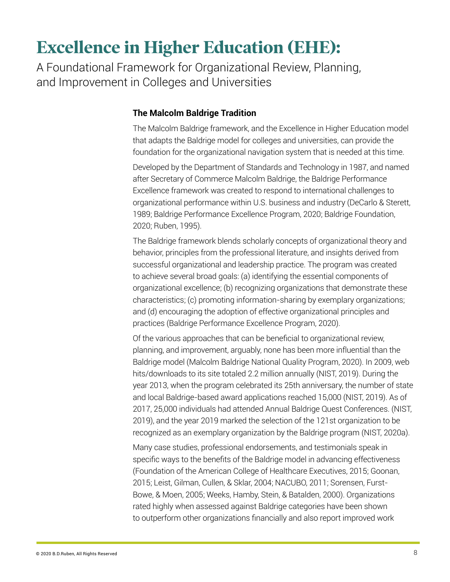## **Excellence in Higher Education (EHE):**

A Foundational Framework for Organizational Review, Planning, and Improvement in Colleges and Universities

### **The Malcolm Baldrige Tradition**

The Malcolm Baldrige framework, and the Excellence in Higher Education model that adapts the Baldrige model for colleges and universities, can provide the foundation for the organizational navigation system that is needed at this time.

Developed by the Department of Standards and Technology in 1987, and named after Secretary of Commerce Malcolm Baldrige, the Baldrige Performance Excellence framework was created to respond to international challenges to organizational performance within U.S. business and industry (DeCarlo & Sterett, 1989; Baldrige Performance Excellence Program, 2020; Baldrige Foundation, 2020; Ruben, 1995).

The Baldrige framework blends scholarly concepts of organizational theory and behavior, principles from the professional literature, and insights derived from successful organizational and leadership practice. The program was created to achieve several broad goals: (a) identifying the essential components of organizational excellence; (b) recognizing organizations that demonstrate these characteristics; (c) promoting information-sharing by exemplary organizations; and (d) encouraging the adoption of effective organizational principles and practices (Baldrige Performance Excellence Program, 2020).

Of the various approaches that can be beneficial to organizational review, planning, and improvement, arguably, none has been more influential than the Baldrige model (Malcolm Baldrige National Quality Program, 2020). In 2009, web hits/downloads to its site totaled 2.2 million annually (NIST, 2019). During the year 2013, when the program celebrated its 25th anniversary, the number of state and local Baldrige-based award applications reached 15,000 (NIST, 2019). As of 2017, 25,000 individuals had attended Annual Baldrige Quest Conferences. (NIST, 2019), and the year 2019 marked the selection of the 121st organization to be recognized as an exemplary organization by the Baldrige program (NIST, 2020a).

Many case studies, professional endorsements, and testimonials speak in specific ways to the benefits of the Baldrige model in advancing effectiveness (Foundation of the American College of Healthcare Executives, 2015; Goonan, 2015; Leist, Gilman, Cullen, & Sklar, 2004; NACUBO, 2011; Sorensen, Furst-Bowe, & Moen, 2005; Weeks, Hamby, Stein, & Batalden, 2000). Organizations rated highly when assessed against Baldrige categories have been shown to outperform other organizations financially and also report improved work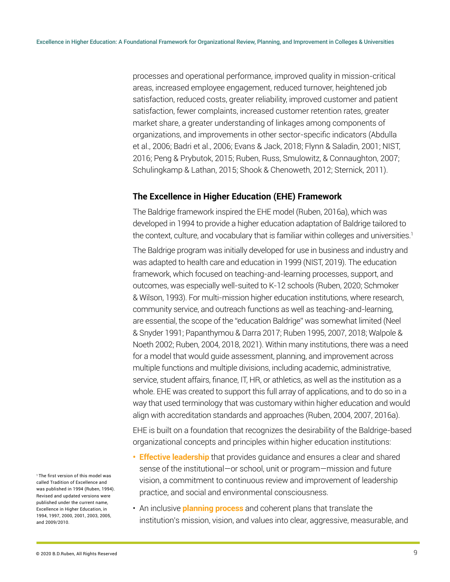processes and operational performance, improved quality in mission-critical areas, increased employee engagement, reduced turnover, heightened job satisfaction, reduced costs, greater reliability, improved customer and patient satisfaction, fewer complaints, increased customer retention rates, greater market share, a greater understanding of linkages among components of organizations, and improvements in other sector-specific indicators (Abdulla et al., 2006; Badri et al., 2006; Evans & Jack, 2018; Flynn & Saladin, 2001; NIST, 2016; Peng & Prybutok, 2015; Ruben, Russ, Smulowitz, & Connaughton, 2007; Schulingkamp & Lathan, 2015; Shook & Chenoweth, 2012; Sternick, 2011).

#### **The Excellence in Higher Education (EHE) Framework**

The Baldrige framework inspired the EHE model (Ruben, 2016a), which was developed in 1994 to provide a higher education adaptation of Baldrige tailored to the context, culture, and vocabulary that is familiar within colleges and universities.<sup>1</sup>

The Baldrige program was initially developed for use in business and industry and was adapted to health care and education in 1999 (NIST, 2019). The education framework, which focused on teaching-and-learning processes, support, and outcomes, was especially well-suited to K-12 schools (Ruben, 2020; Schmoker & Wilson, 1993). For multi-mission higher education institutions, where research, community service, and outreach functions as well as teaching-and-learning, are essential, the scope of the "education Baldrige" was somewhat limited (Neel & Snyder 1991; Papanthymou & Darra 2017; Ruben 1995, 2007, 2018; Walpole & Noeth 2002; Ruben, 2004, 2018, 2021). Within many institutions, there was a need for a model that would guide assessment, planning, and improvement across multiple functions and multiple divisions, including academic, administrative, service, student affairs, finance, IT, HR, or athletics, as well as the institution as a whole. EHE was created to support this full array of applications, and to do so in a way that used terminology that was customary within higher education and would align with accreditation standards and approaches (Ruben, 2004, 2007, 2016a).

EHE is built on a foundation that recognizes the desirability of the Baldrige-based organizational concepts and principles within higher education institutions:

- **Effective leadership** that provides guidance and ensures a clear and shared sense of the institutional—or school, unit or program—mission and future vision, a commitment to continuous review and improvement of leadership practice, and social and environmental consciousness.
- An inclusive **planning process** and coherent plans that translate the institution's mission, vision, and values into clear, aggressive, measurable, and

<sup>1</sup>The first version of this model was called Tradition of Excellence and was published in 1994 (Ruben, 1994). Revised and updated versions were published under the current name, Excellence in Higher Education, in 1994, 1997, 2000, 2001, 2003, 2005, and 2009/2010.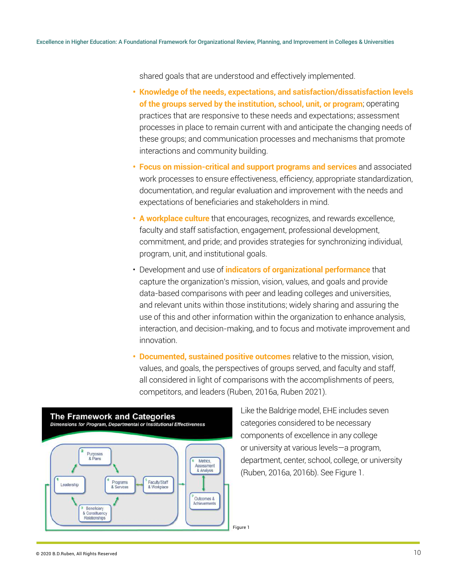shared goals that are understood and effectively implemented.

- **Knowledge of the needs, expectations, and satisfaction/dissatisfaction levels of the groups served by the institution, school, unit, or program**; operating practices that are responsive to these needs and expectations; assessment processes in place to remain current with and anticipate the changing needs of these groups; and communication processes and mechanisms that promote interactions and community building.
- **Focus on mission-critical and support programs and services** and associated work processes to ensure effectiveness, efficiency, appropriate standardization, documentation, and regular evaluation and improvement with the needs and expectations of beneficiaries and stakeholders in mind.
- **A workplace culture** that encourages, recognizes, and rewards excellence, faculty and staff satisfaction, engagement, professional development, commitment, and pride; and provides strategies for synchronizing individual, program, unit, and institutional goals.
- Development and use of **indicators of organizational performance** that capture the organization's mission, vision, values, and goals and provide data-based comparisons with peer and leading colleges and universities, and relevant units within those institutions; widely sharing and assuring the use of this and other information within the organization to enhance analysis, interaction, and decision-making, and to focus and motivate improvement and innovation.
- **Documented, sustained positive outcomes** relative to the mission, vision, values, and goals, the perspectives of groups served, and faculty and staff, all considered in light of comparisons with the accomplishments of peers, competitors, and leaders (Ruben, 2016a, Ruben 2021).



Like the Baldrige model, EHE includes seven categories considered to be necessary components of excellence in any college or university at various levels—a program, department, center, school, college, or university (Ruben, 2016a, 2016b). See Figure 1.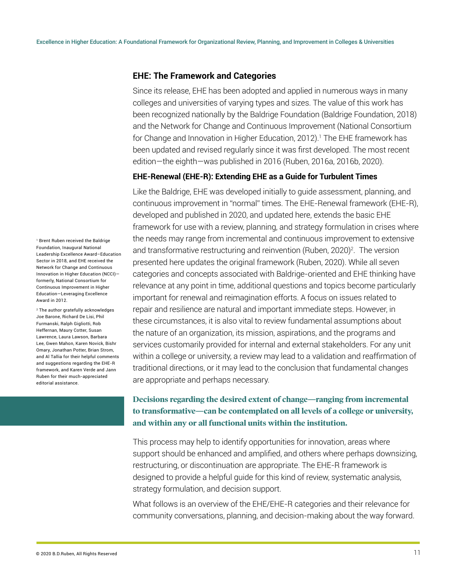#### **EHE: The Framework and Categories**

Since its release, EHE has been adopted and applied in numerous ways in many colleges and universities of varying types and sizes. The value of this work has been recognized nationally by the Baldrige Foundation (Baldrige Foundation, 2018) and the Network for Change and Continuous Improvement (National Consortium for Change and Innovation in Higher Education, 2012).1 The EHE framework has l been updated and revised regularly since it was first developed. The most recent edition—the eighth—was published in 2016 (Ruben, 2016a, 2016b, 2020).

#### **EHE-Renewal (EHE-R): Extending EHE as a Guide for Turbulent Times**

Like the Baldrige, EHE was developed initially to guide assessment, planning, and continuous improvement in "normal" times. The EHE-Renewal framework (EHE-R), developed and published in 2020, and updated here, extends the basic EHE framework for use with a review, planning, and strategy formulation in crises where the needs may range from incremental and continuous improvement to extensive and transformative restructuring and reinvention (Ruben, 2020)<sup>2</sup>. The version presented here updates the original framework (Ruben, 2020). While all seven categories and concepts associated with Baldrige-oriented and EHE thinking have relevance at any point in time, additional questions and topics become particularly important for renewal and reimagination efforts. A focus on issues related to repair and resilience are natural and important immediate steps. However, in these circumstances, it is also vital to review fundamental assumptions about the nature of an organization, its mission, aspirations, and the programs and services customarily provided for internal and external stakeholders. For any unit within a college or university, a review may lead to a validation and reaffirmation of traditional directions, or it may lead to the conclusion that fundamental changes are appropriate and perhaps necessary.

### **Decisions regarding the desired extent of change—ranging from incremental to transformative—can be contemplated on all levels of a college or university, and within any or all functional units within the institution.**

This process may help to identify opportunities for innovation, areas where support should be enhanced and amplified, and others where perhaps downsizing, restructuring, or discontinuation are appropriate. The EHE-R framework is designed to provide a helpful guide for this kind of review, systematic analysis, strategy formulation, and decision support.

What follows is an overview of the EHE/EHE-R categories and their relevance for community conversations, planning, and decision-making about the way forward.

1 Brent Ruben received the Baldrige Foundation, Inaugural National Leadership Excellence Award–Education Sector in 2018, and EHE received the Network for Change and Continuous Innovation in Higher Education (NCCI) formerly, National Consortium for Continuous Improvement in Higher Education—Leveraging Excellence Award in 2012.

2 The author gratefully acknowledges Joe Barone, Richard De Lisi, Phil Furmanski, Ralph Gigliotti, Rob Heffernan, Maury Cotter, Susan Lawrence, Laura Lawson, Barbara Lee, Gwen Mahon, Karen Novick, Bishr Omary, Jonathan Potter, Brian Strom, and Al Tallia for their helpful comments and suggestions regarding the EHE-R framework, and Karen Verde and Jann Ruben for their much-appreciated editorial assistance.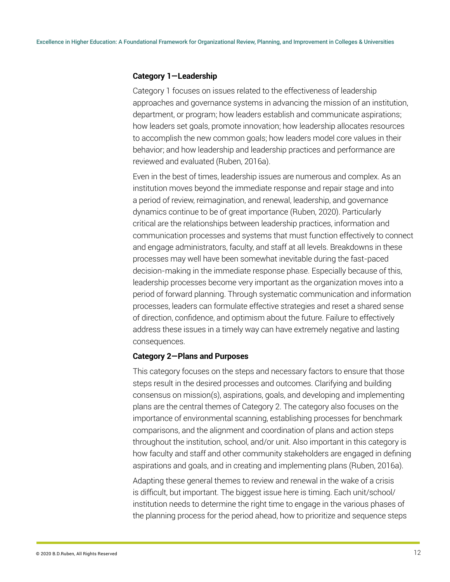#### **Category 1—Leadership**

Category 1 focuses on issues related to the effectiveness of leadership approaches and governance systems in advancing the mission of an institution, department, or program; how leaders establish and communicate aspirations; how leaders set goals, promote innovation; how leadership allocates resources to accomplish the new common goals; how leaders model core values in their behavior; and how leadership and leadership practices and performance are reviewed and evaluated (Ruben, 2016a).

Even in the best of times, leadership issues are numerous and complex. As an institution moves beyond the immediate response and repair stage and into a period of review, reimagination, and renewal, leadership, and governance dynamics continue to be of great importance (Ruben, 2020). Particularly critical are the relationships between leadership practices, information and communication processes and systems that must function effectively to connect and engage administrators, faculty, and staff at all levels. Breakdowns in these processes may well have been somewhat inevitable during the fast-paced decision-making in the immediate response phase. Especially because of this, leadership processes become very important as the organization moves into a period of forward planning. Through systematic communication and information processes, leaders can formulate effective strategies and reset a shared sense of direction, confidence, and optimism about the future. Failure to effectively address these issues in a timely way can have extremely negative and lasting consequences.

#### **Category 2—Plans and Purposes**

This category focuses on the steps and necessary factors to ensure that those steps result in the desired processes and outcomes. Clarifying and building consensus on mission(s), aspirations, goals, and developing and implementing plans are the central themes of Category 2. The category also focuses on the importance of environmental scanning, establishing processes for benchmark comparisons, and the alignment and coordination of plans and action steps throughout the institution, school, and/or unit. Also important in this category is how faculty and staff and other community stakeholders are engaged in defining aspirations and goals, and in creating and implementing plans (Ruben, 2016a).

Adapting these general themes to review and renewal in the wake of a crisis is difficult, but important. The biggest issue here is timing. Each unit/school/ institution needs to determine the right time to engage in the various phases of the planning process for the period ahead, how to prioritize and sequence steps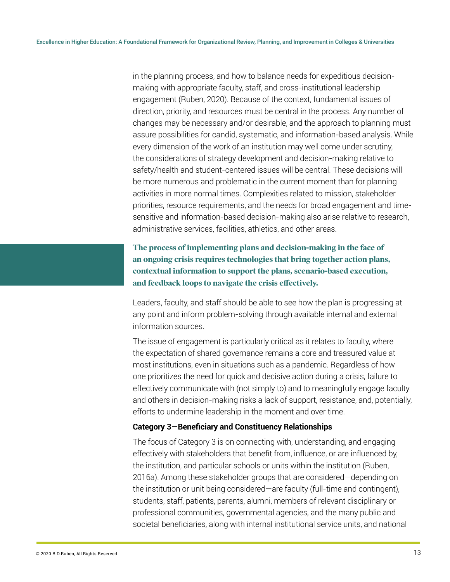in the planning process, and how to balance needs for expeditious decisionmaking with appropriate faculty, staff, and cross-institutional leadership engagement (Ruben, 2020). Because of the context, fundamental issues of direction, priority, and resources must be central in the process. Any number of changes may be necessary and/or desirable, and the approach to planning must assure possibilities for candid, systematic, and information-based analysis. While every dimension of the work of an institution may well come under scrutiny, the considerations of strategy development and decision-making relative to safety/health and student-centered issues will be central. These decisions will be more numerous and problematic in the current moment than for planning activities in more normal times. Complexities related to mission, stakeholder priorities, resource requirements, and the needs for broad engagement and timesensitive and information-based decision-making also arise relative to research, administrative services, facilities, athletics, and other areas.

**The process of implementing plans and decision-making in the face of an ongoing crisis requires technologies that bring together action plans, contextual information to support the plans, scenario-based execution, and feedback loops to navigate the crisis effectively.** 

Leaders, faculty, and staff should be able to see how the plan is progressing at any point and inform problem-solving through available internal and external information sources.

The issue of engagement is particularly critical as it relates to faculty, where the expectation of shared governance remains a core and treasured value at most institutions, even in situations such as a pandemic. Regardless of how one prioritizes the need for quick and decisive action during a crisis, failure to effectively communicate with (not simply to) and to meaningfully engage faculty and others in decision-making risks a lack of support, resistance, and, potentially, efforts to undermine leadership in the moment and over time.

#### **Category 3—Beneficiary and Constituency Relationships**

The focus of Category 3 is on connecting with, understanding, and engaging effectively with stakeholders that benefit from, influence, or are influenced by, the institution, and particular schools or units within the institution (Ruben, 2016a). Among these stakeholder groups that are considered—depending on the institution or unit being considered—are faculty (full-time and contingent), students, staff, patients, parents, alumni, members of relevant disciplinary or professional communities, governmental agencies, and the many public and societal beneficiaries, along with internal institutional service units, and national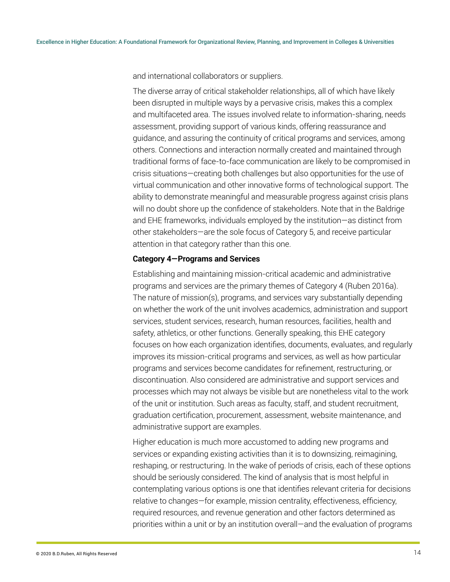and international collaborators or suppliers.

The diverse array of critical stakeholder relationships, all of which have likely been disrupted in multiple ways by a pervasive crisis, makes this a complex and multifaceted area. The issues involved relate to information-sharing, needs assessment, providing support of various kinds, offering reassurance and guidance, and assuring the continuity of critical programs and services, among others. Connections and interaction normally created and maintained through traditional forms of face-to-face communication are likely to be compromised in crisis situations—creating both challenges but also opportunities for the use of virtual communication and other innovative forms of technological support. The ability to demonstrate meaningful and measurable progress against crisis plans will no doubt shore up the confidence of stakeholders. Note that in the Baldrige and EHE frameworks, individuals employed by the institution—as distinct from other stakeholders—are the sole focus of Category 5, and receive particular attention in that category rather than this one.

#### **Category 4—Programs and Services**

Establishing and maintaining mission-critical academic and administrative programs and services are the primary themes of Category 4 (Ruben 2016a). The nature of mission(s), programs, and services vary substantially depending on whether the work of the unit involves academics, administration and support services, student services, research, human resources, facilities, health and safety, athletics, or other functions. Generally speaking, this EHE category focuses on how each organization identifies, documents, evaluates, and regularly improves its mission-critical programs and services, as well as how particular programs and services become candidates for refinement, restructuring, or discontinuation. Also considered are administrative and support services and processes which may not always be visible but are nonetheless vital to the work of the unit or institution. Such areas as faculty, staff, and student recruitment, graduation certification, procurement, assessment, website maintenance, and administrative support are examples.

Higher education is much more accustomed to adding new programs and services or expanding existing activities than it is to downsizing, reimagining, reshaping, or restructuring. In the wake of periods of crisis, each of these options should be seriously considered. The kind of analysis that is most helpful in contemplating various options is one that identifies relevant criteria for decisions relative to changes—for example, mission centrality, effectiveness, efficiency, required resources, and revenue generation and other factors determined as priorities within a unit or by an institution overall—and the evaluation of programs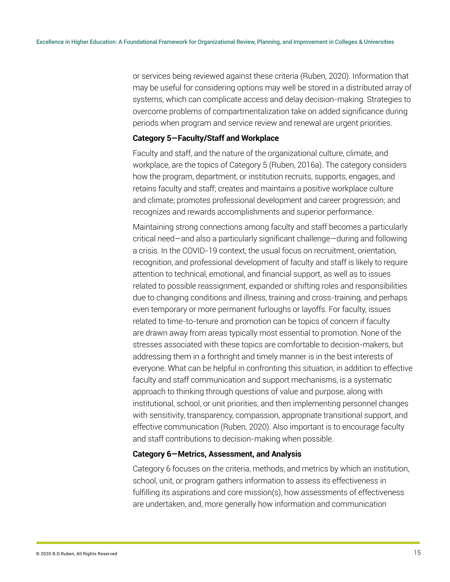or services being reviewed against these criteria (Ruben, 2020). Information that may be useful for considering options may well be stored in a distributed array of systems, which can complicate access and delay decision-making. Strategies to overcome problems of compartmentalization take on added significance during periods when program and service review and renewal are urgent priorities.

#### **Category 5—Faculty/Staff and Workplace**

Faculty and staff, and the nature of the organizational culture, climate, and workplace, are the topics of Category 5 (Ruben, 2016a). The category considers how the program, department, or institution recruits, supports, engages, and retains faculty and staff; creates and maintains a positive workplace culture and climate; promotes professional development and career progression; and recognizes and rewards accomplishments and superior performance.

Maintaining strong connections among faculty and staff becomes a particularly critical need—and also a particularly significant challenge—during and following a crisis. In the COVID-19 context, the usual focus on recruitment, orientation, recognition, and professional development of faculty and staff is likely to require attention to technical, emotional, and financial support, as well as to issues related to possible reassignment, expanded or shifting roles and responsibilities due to changing conditions and illness, training and cross-training, and perhaps even temporary or more permanent furloughs or layoffs. For faculty, issues related to time-to-tenure and promotion can be topics of concern if faculty are drawn away from areas typically most essential to promotion. None of the stresses associated with these topics are comfortable to decision-makers, but addressing them in a forthright and timely manner is in the best interests of everyone. What can be helpful in confronting this situation, in addition to effective faculty and staff communication and support mechanisms, is a systematic approach to thinking through questions of value and purpose, along with institutional, school, or unit priorities, and then implementing personnel changes with sensitivity, transparency, compassion, appropriate transitional support, and effective communication (Ruben, 2020). Also important is to encourage faculty and staff contributions to decision-making when possible.

#### **Category 6—Metrics, Assessment, and Analysis**

Category 6 focuses on the criteria, methods, and metrics by which an institution, school, unit, or program gathers information to assess its effectiveness in fulfilling its aspirations and core mission(s), how assessments of effectiveness are undertaken, and, more generally how information and communication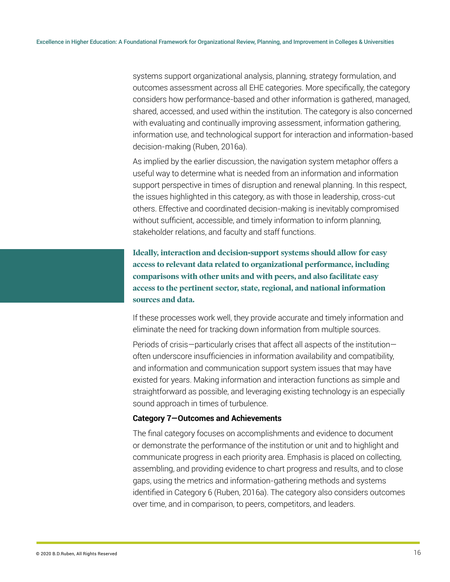systems support organizational analysis, planning, strategy formulation, and outcomes assessment across all EHE categories. More specifically, the category considers how performance-based and other information is gathered, managed, shared, accessed, and used within the institution. The category is also concerned with evaluating and continually improving assessment, information gathering, information use, and technological support for interaction and information-based decision-making (Ruben, 2016a).

As implied by the earlier discussion, the navigation system metaphor offers a useful way to determine what is needed from an information and information support perspective in times of disruption and renewal planning. In this respect, the issues highlighted in this category, as with those in leadership, cross-cut others. Effective and coordinated decision-making is inevitably compromised without sufficient, accessible, and timely information to inform planning, stakeholder relations, and faculty and staff functions.

**Ideally, interaction and decision-support systems should allow for easy access to relevant data related to organizational performance, including comparisons with other units and with peers, and also facilitate easy access to the pertinent sector, state, regional, and national information sources and data.** 

If these processes work well, they provide accurate and timely information and eliminate the need for tracking down information from multiple sources.

Periods of crisis—particularly crises that affect all aspects of the institution often underscore insufficiencies in information availability and compatibility, and information and communication support system issues that may have existed for years. Making information and interaction functions as simple and straightforward as possible, and leveraging existing technology is an especially sound approach in times of turbulence.

#### **Category 7—Outcomes and Achievements**

The final category focuses on accomplishments and evidence to document or demonstrate the performance of the institution or unit and to highlight and communicate progress in each priority area. Emphasis is placed on collecting, assembling, and providing evidence to chart progress and results, and to close gaps, using the metrics and information-gathering methods and systems identified in Category 6 (Ruben, 2016a). The category also considers outcomes over time, and in comparison, to peers, competitors, and leaders.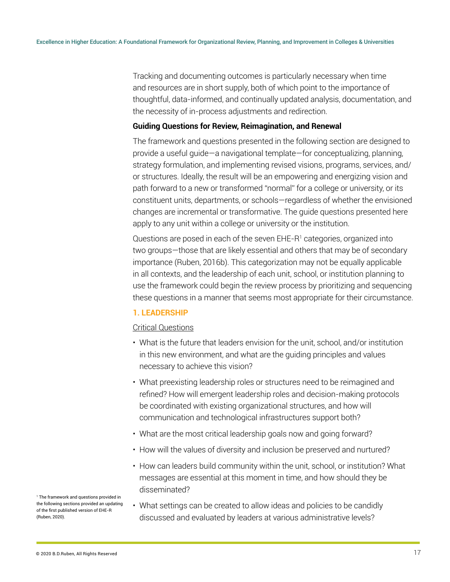Tracking and documenting outcomes is particularly necessary when time and resources are in short supply, both of which point to the importance of thoughtful, data-informed, and continually updated analysis, documentation, and the necessity of in-process adjustments and redirection.

#### **Guiding Questions for Review, Reimagination, and Renewal**

The framework and questions presented in the following section are designed to provide a useful guide—a navigational template—for conceptualizing, planning, strategy formulation, and implementing revised visions, programs, services, and/ or structures. Ideally, the result will be an empowering and energizing vision and path forward to a new or transformed "normal" for a college or university, or its constituent units, departments, or schools—regardless of whether the envisioned changes are incremental or transformative. The guide questions presented here apply to any unit within a college or university or the institution.

Questions are posed in each of the seven EHE-R1 categories, organized into two groups—those that are likely essential and others that may be of secondary importance (Ruben, 2016b). This categorization may not be equally applicable in all contexts, and the leadership of each unit, school, or institution planning to use the framework could begin the review process by prioritizing and sequencing these questions in a manner that seems most appropriate for their circumstance.

#### **1. LEADERSHIP**

#### Critical Questions

- What is the future that leaders envision for the unit, school, and/or institution in this new environment, and what are the guiding principles and values necessary to achieve this vision?
- What preexisting leadership roles or structures need to be reimagined and refined? How will emergent leadership roles and decision-making protocols be coordinated with existing organizational structures, and how will communication and technological infrastructures support both?
- What are the most critical leadership goals now and going forward?
- How will the values of diversity and inclusion be preserved and nurtured?
- How can leaders build community within the unit, school, or institution? What messages are essential at this moment in time, and how should they be disseminated?
- What settings can be created to allow ideas and policies to be candidly discussed and evaluated by leaders at various administrative levels?

1 The framework and questions provided in the following sections provided an updating of the first published version of EHE-R (Ruben, 2020).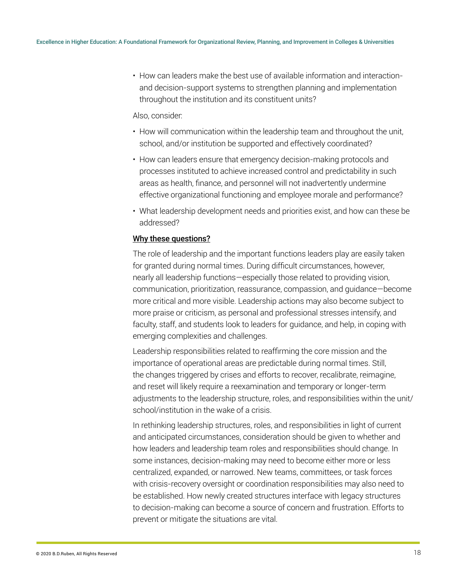• How can leaders make the best use of available information and interactionand decision-support systems to strengthen planning and implementation throughout the institution and its constituent units?

#### Also, consider:

- How will communication within the leadership team and throughout the unit, school, and/or institution be supported and effectively coordinated?
- How can leaders ensure that emergency decision-making protocols and processes instituted to achieve increased control and predictability in such areas as health, finance, and personnel will not inadvertently undermine effective organizational functioning and employee morale and performance?
- What leadership development needs and priorities exist, and how can these be addressed?

#### Why these questions?

The role of leadership and the important functions leaders play are easily taken for granted during normal times. During difficult circumstances, however, nearly all leadership functions—especially those related to providing vision, communication, prioritization, reassurance, compassion, and guidance—become more critical and more visible. Leadership actions may also become subject to more praise or criticism, as personal and professional stresses intensify, and faculty, staff, and students look to leaders for guidance, and help, in coping with emerging complexities and challenges.

Leadership responsibilities related to reaffirming the core mission and the importance of operational areas are predictable during normal times. Still, the changes triggered by crises and efforts to recover, recalibrate, reimagine, and reset will likely require a reexamination and temporary or longer-term adjustments to the leadership structure, roles, and responsibilities within the unit/ school/institution in the wake of a crisis.

In rethinking leadership structures, roles, and responsibilities in light of current and anticipated circumstances, consideration should be given to whether and how leaders and leadership team roles and responsibilities should change. In some instances, decision-making may need to become either more or less centralized, expanded, or narrowed. New teams, committees, or task forces with crisis-recovery oversight or coordination responsibilities may also need to be established. How newly created structures interface with legacy structures to decision-making can become a source of concern and frustration. Efforts to prevent or mitigate the situations are vital.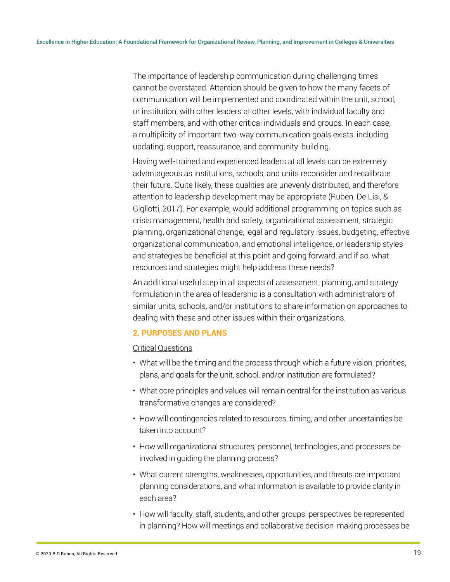The importance of leadership communication during challenging times cannot be overstated. Attention should be given to how the many facets of communication will be implemented and coordinated within the unit, school, or institution, with other leaders at other levels, with individual faculty and staff members, and with other critical individuals and groups. In each case, a multiplicity of important two-way communication goals exists, including updating, support, reassurance, and community-building.

Having well-trained and experienced leaders at all levels can be extremely advantageous as institutions, schools, and units reconsider and recalibrate their future. Quite likely, these qualities are unevenly distributed, and therefore attention to leadership development may be appropriate (Ruben, De Lisi, & Gigliotti, 2017). For example, would additional programming on topics such as crisis management, health and safety, organizational assessment, strategic planning, organizational change, legal and regulatory issues, budgeting, effective organizational communication, and emotional intelligence, or leadership styles and strategies be beneficial at this point and going forward, and if so, what resources and strategies might help address these needs?

An additional useful step in all aspects of assessment, planning, and strategy formulation in the area of leadership is a consultation with administrators of similar units, schools, and/or institutions to share information on approaches to dealing with these and other issues within their organizations.

#### **2. PURPOSES AND PLANS**

#### Critical Questions

- What will be the timing and the process through which a future vision, priorities, plans, and goals for the unit, school, and/or institution are formulated?
- What core principles and values will remain central for the institution as various transformative changes are considered?
- How will contingencies related to resources, timing, and other uncertainties be taken into account?
- How will organizational structures, personnel, technologies, and processes be involved in guiding the planning process?
- What current strengths, weaknesses, opportunities, and threats are important planning considerations, and what information is available to provide clarity in each area?
- How will faculty, staff, students, and other groups' perspectives be represented in planning? How will meetings and collaborative decision-making processes be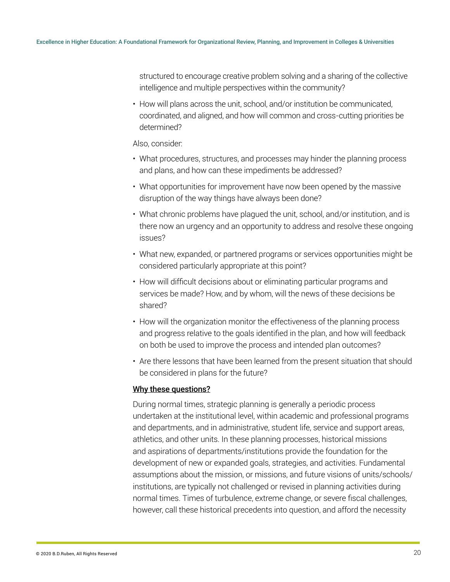structured to encourage creative problem solving and a sharing of the collective intelligence and multiple perspectives within the community?

• How will plans across the unit, school, and/or institution be communicated, coordinated, and aligned, and how will common and cross-cutting priorities be determined?

#### Also, consider:

- What procedures, structures, and processes may hinder the planning process and plans, and how can these impediments be addressed?
- What opportunities for improvement have now been opened by the massive disruption of the way things have always been done?
- What chronic problems have plagued the unit, school, and/or institution, and is there now an urgency and an opportunity to address and resolve these ongoing issues?
- What new, expanded, or partnered programs or services opportunities might be considered particularly appropriate at this point?
- How will difficult decisions about or eliminating particular programs and services be made? How, and by whom, will the news of these decisions be shared?
- How will the organization monitor the effectiveness of the planning process and progress relative to the goals identified in the plan, and how will feedback on both be used to improve the process and intended plan outcomes?
- Are there lessons that have been learned from the present situation that should be considered in plans for the future?

#### Why these questions?

During normal times, strategic planning is generally a periodic process undertaken at the institutional level, within academic and professional programs and departments, and in administrative, student life, service and support areas, athletics, and other units. In these planning processes, historical missions and aspirations of departments/institutions provide the foundation for the development of new or expanded goals, strategies, and activities. Fundamental assumptions about the mission, or missions, and future visions of units/schools/ institutions, are typically not challenged or revised in planning activities during normal times. Times of turbulence, extreme change, or severe fiscal challenges, however, call these historical precedents into question, and afford the necessity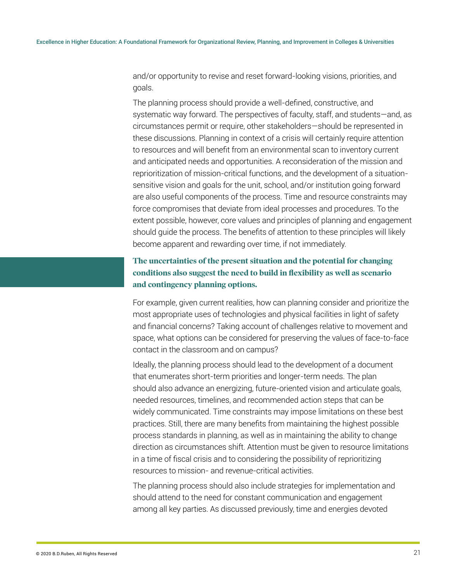and/or opportunity to revise and reset forward-looking visions, priorities, and goals.

The planning process should provide a well-defined, constructive, and systematic way forward. The perspectives of faculty, staff, and students—and, as circumstances permit or require, other stakeholders—should be represented in these discussions. Planning in context of a crisis will certainly require attention to resources and will benefit from an environmental scan to inventory current and anticipated needs and opportunities. A reconsideration of the mission and reprioritization of mission-critical functions, and the development of a situationsensitive vision and goals for the unit, school, and/or institution going forward are also useful components of the process. Time and resource constraints may force compromises that deviate from ideal processes and procedures. To the extent possible, however, core values and principles of planning and engagement should guide the process. The benefits of attention to these principles will likely become apparent and rewarding over time, if not immediately.

### **The uncertainties of the present situation and the potential for changing conditions also suggest the need to build in flexibility as well as scenario and contingency planning options.**

For example, given current realities, how can planning consider and prioritize the most appropriate uses of technologies and physical facilities in light of safety and financial concerns? Taking account of challenges relative to movement and space, what options can be considered for preserving the values of face-to-face contact in the classroom and on campus?

Ideally, the planning process should lead to the development of a document that enumerates short-term priorities and longer-term needs. The plan should also advance an energizing, future-oriented vision and articulate goals, needed resources, timelines, and recommended action steps that can be widely communicated. Time constraints may impose limitations on these best practices. Still, there are many benefits from maintaining the highest possible process standards in planning, as well as in maintaining the ability to change direction as circumstances shift. Attention must be given to resource limitations in a time of fiscal crisis and to considering the possibility of reprioritizing resources to mission- and revenue-critical activities.

The planning process should also include strategies for implementation and should attend to the need for constant communication and engagement among all key parties. As discussed previously, time and energies devoted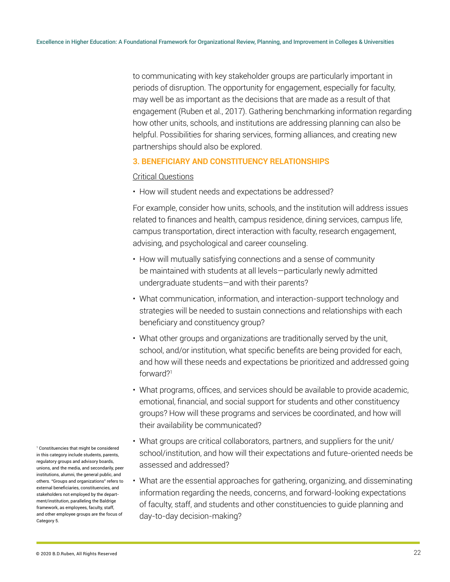to communicating with key stakeholder groups are particularly important in periods of disruption. The opportunity for engagement, especially for faculty, may well be as important as the decisions that are made as a result of that engagement (Ruben et al., 2017). Gathering benchmarking information regarding how other units, schools, and institutions are addressing planning can also be helpful. Possibilities for sharing services, forming alliances, and creating new partnerships should also be explored.

#### **3. BENEFICIARY AND CONSTITUENCY RELATIONSHIPS**

#### Critical Questions

• How will student needs and expectations be addressed?

For example, consider how units, schools, and the institution will address issues related to finances and health, campus residence, dining services, campus life, campus transportation, direct interaction with faculty, research engagement, advising, and psychological and career counseling.

- How will mutually satisfying connections and a sense of community be maintained with students at all levels—particularly newly admitted undergraduate students—and with their parents?
- What communication, information, and interaction-support technology and strategies will be needed to sustain connections and relationships with each beneficiary and constituency group?
- What other groups and organizations are traditionally served by the unit, school, and/or institution, what specific benefits are being provided for each, and how will these needs and expectations be prioritized and addressed going forward?<sup>1</sup>
- What programs, offices, and services should be available to provide academic, emotional, financial, and social support for students and other constituency groups? How will these programs and services be coordinated, and how will their availability be communicated?
- What groups are critical collaborators, partners, and suppliers for the unit/ school/institution, and how will their expectations and future-oriented needs be assessed and addressed?
- What are the essential approaches for gathering, organizing, and disseminating information regarding the needs, concerns, and forward-looking expectations of faculty, staff, and students and other constituencies to guide planning and day-to-day decision-making?

1 Constituencies that might be considered in this category include students, parents, regulatory groups and advisory boards, unions, and the media, and secondarily, peer institutions, alumni, the general public, and others. "Groups and organizations" refers to external beneficiaries, constituencies, and stakeholders not employed by the department/institution, paralleling the Baldrige framework, as employees, faculty, staff, and other employee groups are the focus of Category 5.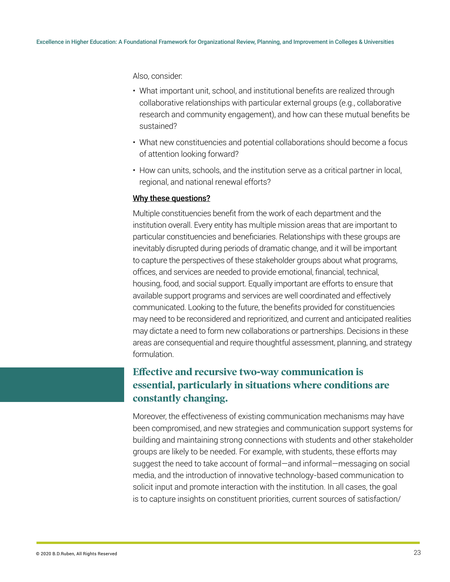Also, consider:

- What important unit, school, and institutional benefits are realized through collaborative relationships with particular external groups (e.g., collaborative research and community engagement), and how can these mutual benefits be sustained?
- What new constituencies and potential collaborations should become a focus of attention looking forward?
- How can units, schools, and the institution serve as a critical partner in local, regional, and national renewal efforts?

#### Why these questions?

Multiple constituencies benefit from the work of each department and the institution overall. Every entity has multiple mission areas that are important to particular constituencies and beneficiaries. Relationships with these groups are inevitably disrupted during periods of dramatic change, and it will be important to capture the perspectives of these stakeholder groups about what programs, offices, and services are needed to provide emotional, financial, technical, housing, food, and social support. Equally important are efforts to ensure that available support programs and services are well coordinated and effectively communicated. Looking to the future, the benefits provided for constituencies may need to be reconsidered and reprioritized, and current and anticipated realities may dictate a need to form new collaborations or partnerships. Decisions in these areas are consequential and require thoughtful assessment, planning, and strategy formulation.

## **Effective and recursive two-way communication is essential, particularly in situations where conditions are constantly changing.**

Moreover, the effectiveness of existing communication mechanisms may have been compromised, and new strategies and communication support systems for building and maintaining strong connections with students and other stakeholder groups are likely to be needed. For example, with students, these efforts may suggest the need to take account of formal—and informal—messaging on social media, and the introduction of innovative technology-based communication to solicit input and promote interaction with the institution. In all cases, the goal is to capture insights on constituent priorities, current sources of satisfaction/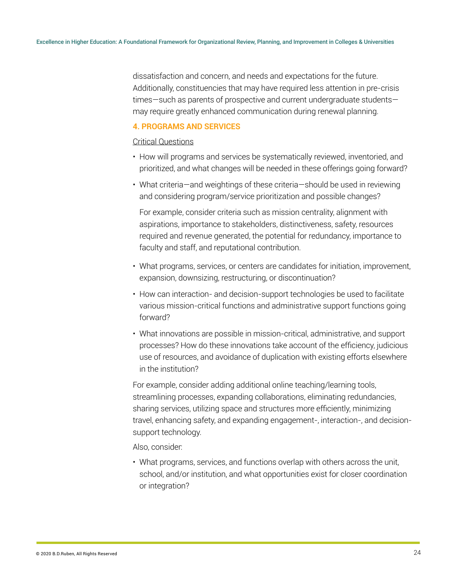dissatisfaction and concern, and needs and expectations for the future. Additionally, constituencies that may have required less attention in pre-crisis times—such as parents of prospective and current undergraduate students may require greatly enhanced communication during renewal planning.

#### **4. PROGRAMS AND SERVICES**

#### Critical Questions

- How will programs and services be systematically reviewed, inventoried, and prioritized, and what changes will be needed in these offerings going forward?
- What criteria—and weightings of these criteria—should be used in reviewing and considering program/service prioritization and possible changes?

For example, consider criteria such as mission centrality, alignment with aspirations, importance to stakeholders, distinctiveness, safety, resources required and revenue generated, the potential for redundancy, importance to faculty and staff, and reputational contribution.

- What programs, services, or centers are candidates for initiation, improvement, expansion, downsizing, restructuring, or discontinuation?
- How can interaction- and decision-support technologies be used to facilitate various mission-critical functions and administrative support functions going forward?
- What innovations are possible in mission-critical, administrative, and support processes? How do these innovations take account of the efficiency, judicious use of resources, and avoidance of duplication with existing efforts elsewhere in the institution?

For example, consider adding additional online teaching/learning tools, streamlining processes, expanding collaborations, eliminating redundancies, sharing services, utilizing space and structures more efficiently, minimizing travel, enhancing safety, and expanding engagement-, interaction-, and decisionsupport technology.

Also, consider:

• What programs, services, and functions overlap with others across the unit, school, and/or institution, and what opportunities exist for closer coordination or integration?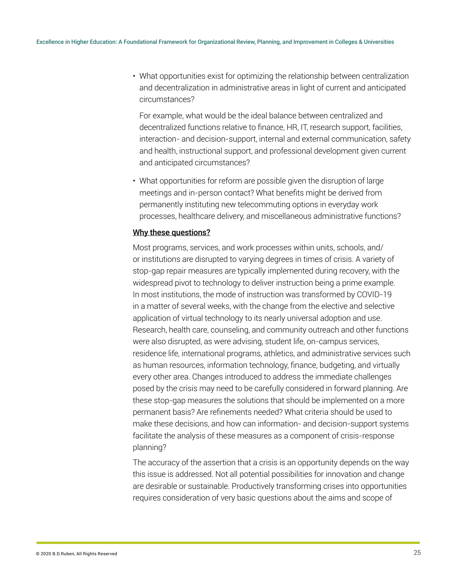• What opportunities exist for optimizing the relationship between centralization and decentralization in administrative areas in light of current and anticipated circumstances?

For example, what would be the ideal balance between centralized and decentralized functions relative to finance, HR, IT, research support, facilities, interaction- and decision-support, internal and external communication, safety and health, instructional support, and professional development given current and anticipated circumstances?

• What opportunities for reform are possible given the disruption of large meetings and in-person contact? What benefits might be derived from permanently instituting new telecommuting options in everyday work processes, healthcare delivery, and miscellaneous administrative functions?

#### Why these questions?

Most programs, services, and work processes within units, schools, and/ or institutions are disrupted to varying degrees in times of crisis. A variety of stop-gap repair measures are typically implemented during recovery, with the widespread pivot to technology to deliver instruction being a prime example. In most institutions, the mode of instruction was transformed by COVID-19 in a matter of several weeks, with the change from the elective and selective application of virtual technology to its nearly universal adoption and use. Research, health care, counseling, and community outreach and other functions were also disrupted, as were advising, student life, on-campus services, residence life, international programs, athletics, and administrative services such as human resources, information technology, finance, budgeting, and virtually every other area. Changes introduced to address the immediate challenges posed by the crisis may need to be carefully considered in forward planning. Are these stop-gap measures the solutions that should be implemented on a more permanent basis? Are refinements needed? What criteria should be used to make these decisions, and how can information- and decision-support systems facilitate the analysis of these measures as a component of crisis-response planning?

The accuracy of the assertion that a crisis is an opportunity depends on the way this issue is addressed. Not all potential possibilities for innovation and change are desirable or sustainable. Productively transforming crises into opportunities requires consideration of very basic questions about the aims and scope of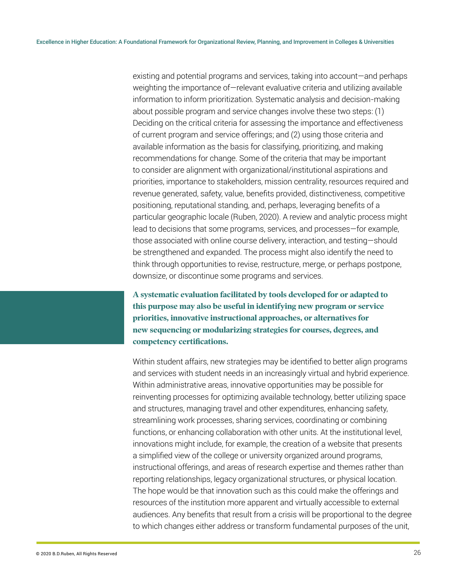existing and potential programs and services, taking into account—and perhaps weighting the importance of—relevant evaluative criteria and utilizing available information to inform prioritization. Systematic analysis and decision-making about possible program and service changes involve these two steps: (1) Deciding on the critical criteria for assessing the importance and effectiveness of current program and service offerings; and (2) using those criteria and available information as the basis for classifying, prioritizing, and making recommendations for change. Some of the criteria that may be important to consider are alignment with organizational/institutional aspirations and priorities, importance to stakeholders, mission centrality, resources required and revenue generated, safety, value, benefits provided, distinctiveness, competitive positioning, reputational standing, and, perhaps, leveraging benefits of a particular geographic locale (Ruben, 2020). A review and analytic process might lead to decisions that some programs, services, and processes—for example, those associated with online course delivery, interaction, and testing—should be strengthened and expanded. The process might also identify the need to think through opportunities to revise, restructure, merge, or perhaps postpone, downsize, or discontinue some programs and services.

**A systematic evaluation facilitated by tools developed for or adapted to this purpose may also be useful in identifying new program or service priorities, innovative instructional approaches, or alternatives for new sequencing or modularizing strategies for courses, degrees, and competency certifications.** 

Within student affairs, new strategies may be identified to better align programs and services with student needs in an increasingly virtual and hybrid experience. Within administrative areas, innovative opportunities may be possible for reinventing processes for optimizing available technology, better utilizing space and structures, managing travel and other expenditures, enhancing safety, streamlining work processes, sharing services, coordinating or combining functions, or enhancing collaboration with other units. At the institutional level, innovations might include, for example, the creation of a website that presents a simplified view of the college or university organized around programs, instructional offerings, and areas of research expertise and themes rather than reporting relationships, legacy organizational structures, or physical location. The hope would be that innovation such as this could make the offerings and resources of the institution more apparent and virtually accessible to external audiences. Any benefits that result from a crisis will be proportional to the degree to which changes either address or transform fundamental purposes of the unit,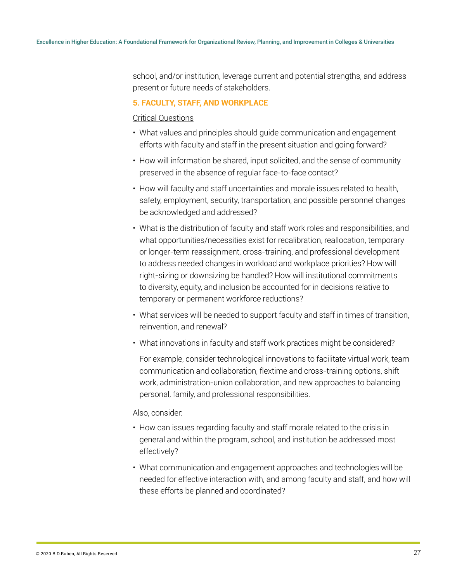school, and/or institution, leverage current and potential strengths, and address present or future needs of stakeholders.

#### **5. FACULTY, STAFF, AND WORKPLACE**

#### Critical Questions

- What values and principles should guide communication and engagement efforts with faculty and staff in the present situation and going forward?
- How will information be shared, input solicited, and the sense of community preserved in the absence of regular face-to-face contact?
- How will faculty and staff uncertainties and morale issues related to health, safety, employment, security, transportation, and possible personnel changes be acknowledged and addressed?
- What is the distribution of faculty and staff work roles and responsibilities, and what opportunities/necessities exist for recalibration, reallocation, temporary or longer-term reassignment, cross-training, and professional development to address needed changes in workload and workplace priorities? How will right-sizing or downsizing be handled? How will institutional commitments to diversity, equity, and inclusion be accounted for in decisions relative to temporary or permanent workforce reductions?
- What services will be needed to support faculty and staff in times of transition, reinvention, and renewal?
- What innovations in faculty and staff work practices might be considered?

For example, consider technological innovations to facilitate virtual work, team communication and collaboration, flextime and cross-training options, shift work, administration-union collaboration, and new approaches to balancing personal, family, and professional responsibilities.

#### Also, consider:

- How can issues regarding faculty and staff morale related to the crisis in general and within the program, school, and institution be addressed most effectively?
- What communication and engagement approaches and technologies will be needed for effective interaction with, and among faculty and staff, and how will these efforts be planned and coordinated?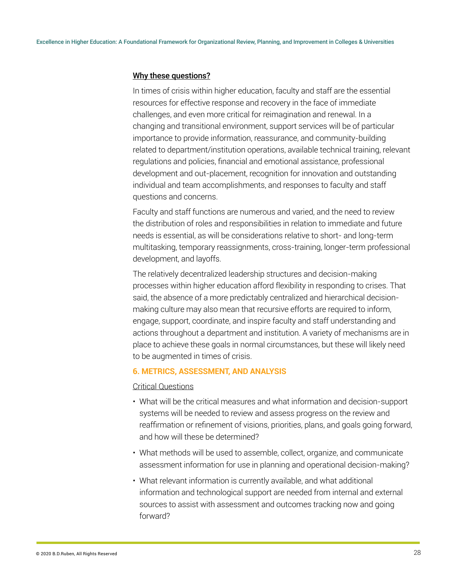#### Why these questions?

In times of crisis within higher education, faculty and staff are the essential resources for effective response and recovery in the face of immediate challenges, and even more critical for reimagination and renewal. In a changing and transitional environment, support services will be of particular importance to provide information, reassurance, and community-building related to department/institution operations, available technical training, relevant regulations and policies, financial and emotional assistance, professional development and out-placement, recognition for innovation and outstanding individual and team accomplishments, and responses to faculty and staff questions and concerns.

Faculty and staff functions are numerous and varied, and the need to review the distribution of roles and responsibilities in relation to immediate and future needs is essential, as will be considerations relative to short- and long-term multitasking, temporary reassignments, cross-training, longer-term professional development, and layoffs.

The relatively decentralized leadership structures and decision-making processes within higher education afford flexibility in responding to crises. That said, the absence of a more predictably centralized and hierarchical decisionmaking culture may also mean that recursive efforts are required to inform, engage, support, coordinate, and inspire faculty and staff understanding and actions throughout a department and institution. A variety of mechanisms are in place to achieve these goals in normal circumstances, but these will likely need to be augmented in times of crisis.

#### **6. METRICS, ASSESSMENT, AND ANALYSIS**

#### Critical Questions

- What will be the critical measures and what information and decision-support systems will be needed to review and assess progress on the review and reaffirmation or refinement of visions, priorities, plans, and goals going forward, and how will these be determined?
- What methods will be used to assemble, collect, organize, and communicate assessment information for use in planning and operational decision-making?
- What relevant information is currently available, and what additional information and technological support are needed from internal and external sources to assist with assessment and outcomes tracking now and going forward?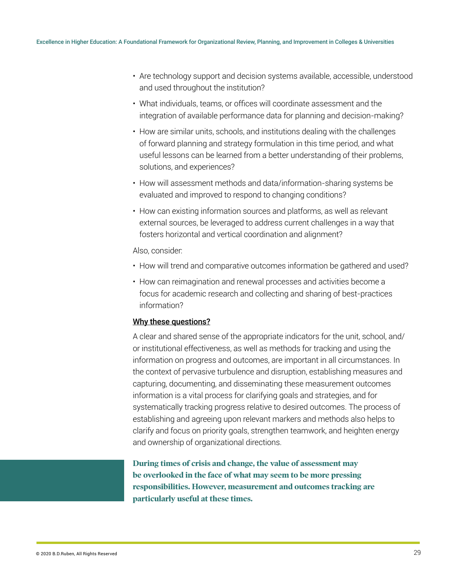- Are technology support and decision systems available, accessible, understood and used throughout the institution?
- What individuals, teams, or offices will coordinate assessment and the integration of available performance data for planning and decision-making?
- How are similar units, schools, and institutions dealing with the challenges of forward planning and strategy formulation in this time period, and what useful lessons can be learned from a better understanding of their problems, solutions, and experiences?
- How will assessment methods and data/information-sharing systems be evaluated and improved to respond to changing conditions?
- How can existing information sources and platforms, as well as relevant external sources, be leveraged to address current challenges in a way that fosters horizontal and vertical coordination and alignment?

#### Also, consider:

- How will trend and comparative outcomes information be gathered and used?
- How can reimagination and renewal processes and activities become a focus for academic research and collecting and sharing of best-practices information?

#### Why these questions?

A clear and shared sense of the appropriate indicators for the unit, school, and/ or institutional effectiveness, as well as methods for tracking and using the information on progress and outcomes, are important in all circumstances. In the context of pervasive turbulence and disruption, establishing measures and capturing, documenting, and disseminating these measurement outcomes information is a vital process for clarifying goals and strategies, and for systematically tracking progress relative to desired outcomes. The process of establishing and agreeing upon relevant markers and methods also helps to clarify and focus on priority goals, strengthen teamwork, and heighten energy and ownership of organizational directions.

**During times of crisis and change, the value of assessment may be overlooked in the face of what may seem to be more pressing responsibilities. However, measurement and outcomes tracking are particularly useful at these times.**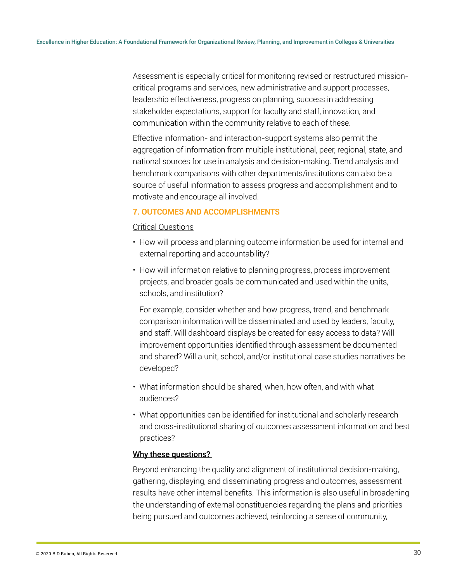Assessment is especially critical for monitoring revised or restructured missioncritical programs and services, new administrative and support processes, leadership effectiveness, progress on planning, success in addressing stakeholder expectations, support for faculty and staff, innovation, and communication within the community relative to each of these.

Effective information- and interaction-support systems also permit the aggregation of information from multiple institutional, peer, regional, state, and national sources for use in analysis and decision-making. Trend analysis and benchmark comparisons with other departments/institutions can also be a source of useful information to assess progress and accomplishment and to motivate and encourage all involved.

#### **7. OUTCOMES AND ACCOMPLISHMENTS**

#### Critical Questions

- How will process and planning outcome information be used for internal and external reporting and accountability?
- How will information relative to planning progress, process improvement projects, and broader goals be communicated and used within the units, schools, and institution?

For example, consider whether and how progress, trend, and benchmark comparison information will be disseminated and used by leaders, faculty, and staff. Will dashboard displays be created for easy access to data? Will improvement opportunities identified through assessment be documented and shared? Will a unit, school, and/or institutional case studies narratives be developed?

- What information should be shared, when, how often, and with what audiences?
- What opportunities can be identified for institutional and scholarly research and cross-institutional sharing of outcomes assessment information and best practices?

#### Why these questions?

Beyond enhancing the quality and alignment of institutional decision-making, gathering, displaying, and disseminating progress and outcomes, assessment results have other internal benefits. This information is also useful in broadening the understanding of external constituencies regarding the plans and priorities being pursued and outcomes achieved, reinforcing a sense of community,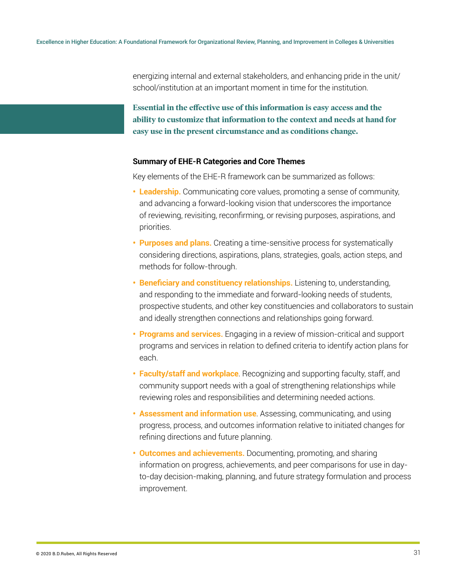energizing internal and external stakeholders, and enhancing pride in the unit/ school/institution at an important moment in time for the institution.

**Essential in the effective use of this information is easy access and the ability to customize that information to the context and needs at hand for easy use in the present circumstance and as conditions change.**

#### **Summary of EHE-R Categories and Core Themes**

Key elements of the EHE-R framework can be summarized as follows:

- **Leadership.** Communicating core values, promoting a sense of community, and advancing a forward-looking vision that underscores the importance of reviewing, revisiting, reconfirming, or revising purposes, aspirations, and priorities.
- **Purposes and plans.** Creating a time-sensitive process for systematically considering directions, aspirations, plans, strategies, goals, action steps, and methods for follow-through.
- **Beneficiary and constituency relationships.** Listening to, understanding, and responding to the immediate and forward-looking needs of students, prospective students, and other key constituencies and collaborators to sustain and ideally strengthen connections and relationships going forward.
- **Programs and services.** Engaging in a review of mission-critical and support programs and services in relation to defined criteria to identify action plans for each.
- **Faculty/staff and workplace**. Recognizing and supporting faculty, staff, and community support needs with a goal of strengthening relationships while reviewing roles and responsibilities and determining needed actions.
- **Assessment and information use**. Assessing, communicating, and using progress, process, and outcomes information relative to initiated changes for refining directions and future planning.
- **Outcomes and achievements.** Documenting, promoting, and sharing information on progress, achievements, and peer comparisons for use in dayto-day decision-making, planning, and future strategy formulation and process improvement.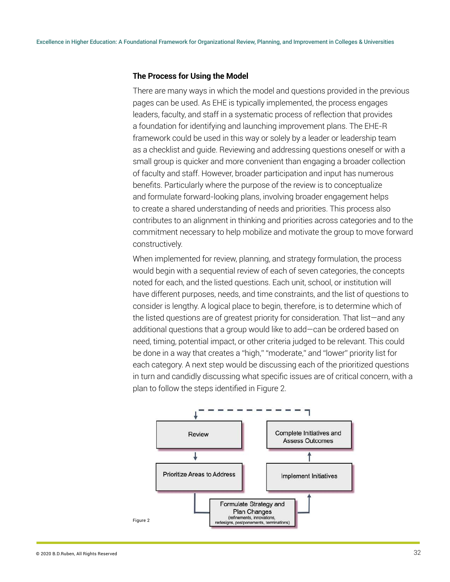#### **The Process for Using the Model**

There are many ways in which the model and questions provided in the previous pages can be used. As EHE is typically implemented, the process engages leaders, faculty, and staff in a systematic process of reflection that provides a foundation for identifying and launching improvement plans. The EHE-R framework could be used in this way or solely by a leader or leadership team as a checklist and guide. Reviewing and addressing questions oneself or with a small group is quicker and more convenient than engaging a broader collection of faculty and staff. However, broader participation and input has numerous benefits. Particularly where the purpose of the review is to conceptualize and formulate forward-looking plans, involving broader engagement helps to create a shared understanding of needs and priorities. This process also contributes to an alignment in thinking and priorities across categories and to the commitment necessary to help mobilize and motivate the group to move forward constructively.

When implemented for review, planning, and strategy formulation, the process would begin with a sequential review of each of seven categories, the concepts noted for each, and the listed questions. Each unit, school, or institution will have different purposes, needs, and time constraints, and the list of questions to consider is lengthy. A logical place to begin, therefore, is to determine which of the listed questions are of greatest priority for consideration. That list—and any additional questions that a group would like to add—can be ordered based on need, timing, potential impact, or other criteria judged to be relevant. This could be done in a way that creates a "high," "moderate," and "lower" priority list for each category. A next step would be discussing each of the prioritized questions in turn and candidly discussing what specific issues are of critical concern, with a plan to follow the steps identified in Figure 2.

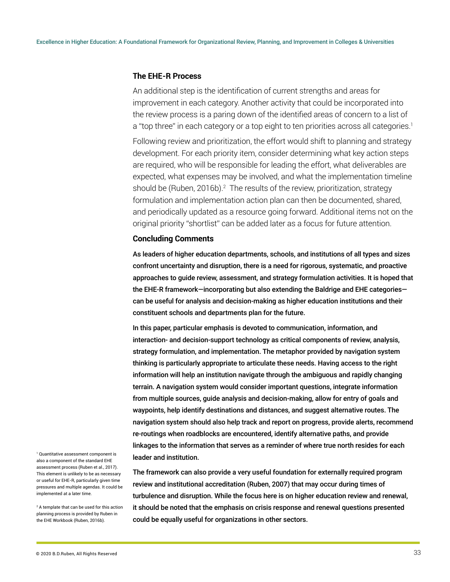#### **The EHE-R Process**

An additional step is the identification of current strengths and areas for improvement in each category. Another activity that could be incorporated into the review process is a paring down of the identified areas of concern to a list of a "top three" in each category or a top eight to ten priorities across all categories.<sup>1</sup>

Following review and prioritization, the effort would shift to planning and strategy development. For each priority item, consider determining what key action steps are required, who will be responsible for leading the effort, what deliverables are expected, what expenses may be involved, and what the implementation timeline should be (Ruben, 2016b).<sup>2</sup> The results of the review, prioritization, strategy formulation and implementation action plan can then be documented, shared, and periodically updated as a resource going forward. Additional items not on the original priority "shortlist" can be added later as a focus for future attention.

#### **Concluding Comments**

As leaders of higher education departments, schools, and institutions of all types and sizes confront uncertainty and disruption, there is a need for rigorous, systematic, and proactive approaches to guide review, assessment, and strategy formulation activities. It is hoped that the EHE-R framework—incorporating but also extending the Baldrige and EHE categories can be useful for analysis and decision-making as higher education institutions and their constituent schools and departments plan for the future.

In this paper, particular emphasis is devoted to communication, information, and interaction- and decision-support technology as critical components of review, analysis, strategy formulation, and implementation. The metaphor provided by navigation system thinking is particularly appropriate to articulate these needs. Having access to the right information will help an institution navigate through the ambiguous and rapidly changing terrain. A navigation system would consider important questions, integrate information from multiple sources, guide analysis and decision-making, allow for entry of goals and waypoints, help identify destinations and distances, and suggest alternative routes. The navigation system should also help track and report on progress, provide alerts, recommend re-routings when roadblocks are encountered, identify alternative paths, and provide linkages to the information that serves as a reminder of where true north resides for each leader and institution.

The framework can also provide a very useful foundation for externally required program review and institutional accreditation (Ruben, 2007) that may occur during times of turbulence and disruption. While the focus here is on higher education review and renewal, it should be noted that the emphasis on crisis response and renewal questions presented could be equally useful for organizations in other sectors.

1 Quantitative assessment component is also a component of the standard EHE assessment process (Ruben et al., 2017). This element is unlikely to be as necessary or useful for EHE-R, particularly given time pressures and multiple agendas. It could be implemented at a later time.

2 A template that can be used for this action planning process is provided by Ruben in the EHE Workbook (Ruben, 2016b).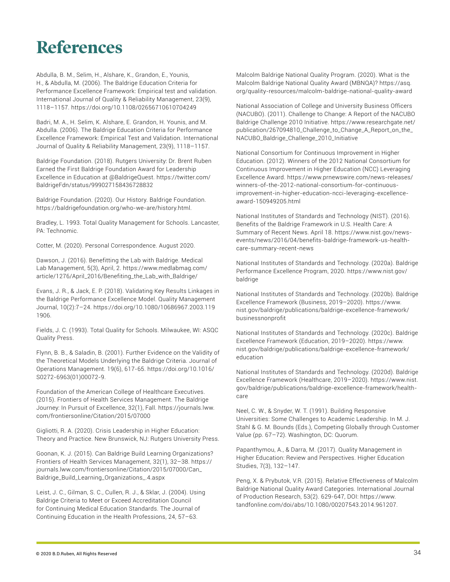## **References**

Abdulla, B. M., Selim, H., Alshare, K., Grandon, E., Younis, H., & Abdulla, M. (2006). The Baldrige Education Criteria for Performance Excellence Framework: Empirical test and validation. International Journal of Quality & Reliability Management, 23(9), 1118–1157. https://doi.org/10.1108/02656710610704249

Badri, M. A., H. Selim, K. Alshare, E. Grandon, H. Younis, and M. Abdulla. (2006). The Baldrige Education Criteria for Performance Excellence Framework: Empirical Test and Validation. International Journal of Quality & Reliability Management, 23(9), 1118–1157.

Baldrige Foundation. (2018). Rutgers University: Dr. Brent Ruben Earned the First Baldrige Foundation Award for Leadership Excellence in Education at @BaldrigeQuest. https://twitter.com/ BaldrigeFdn/status/999027158436728832

Baldrige Foundation. (2020). Our History. Baldrige Foundation. https://baldrigefoundation.org/who-we-are/history.html.

Bradley, L. 1993. Total Quality Management for Schools. Lancaster, PA: Technomic.

Cotter, M. (2020). Personal Correspondence. August 2020.

Dawson, J. (2016). Benefitting the Lab with Baldrige. Medical Lab Management, 5(3), April, 2. https://www.medlabmag.com/ article/1276/April\_2016/Benefiting\_the\_Lab\_with\_Baldrige/

Evans, J. R., & Jack, E. P. (2018). Validating Key Results Linkages in the Baldrige Performance Excellence Model. Quality Management Journal, 10(2):7–24. https://doi.org/10.1080/10686967.2003.119 1906.

Fields, J. C. (1993). Total Quality for Schools. Milwaukee, WI: ASQC Quality Press.

Flynn, B. B., & Saladin, B. (2001). Further Evidence on the Validity of the Theoretical Models Underlying the Baldrige Criteria. Journal of Operations Management. 19(6), 617-65. https://doi.org/10.1016/ S0272-6963(01)00072-9.

Foundation of the American College of Healthcare Executives. (2015). Frontiers of Health Services Management. The Baldrige Journey: In Pursuit of Excellence, 32(1), Fall. https://journals.lww. com/frontiersonline/Citation/2015/07000

Gigliotti, R. A. (2020). Crisis Leadership in Higher Education: Theory and Practice. New Brunswick, NJ: Rutgers University Press.

Goonan, K. J. (2015). Can Baldrige Build Learning Organizations? Frontiers of Health Services Management, 32(1), 32–38. https:// journals.lww.com/frontiersonline/Citation/2015/07000/Can\_ Baldrige\_Build\_Learning\_Organizations\_.4.aspx

Leist, J. C., Gilman, S. C., Cullen, R. J., & Sklar, J. (2004). Using Baldrige Criteria to Meet or Exceed Accreditation Council for Continuing Medical Education Standards. The Journal of Continuing Education in the Health Professions, 24, 57–63.

Malcolm Baldrige National Quality Program. (2020). What is the Malcolm Baldrige National Quality Award (MBNQA)? https://asq. org/quality-resources/malcolm-baldrige-national-quality-award

National Association of College and University Business Officers (NACUBO). (2011). Challenge to Change: A Report of the NACUBO Baldrige Challenge 2010 Initiative. https://www.researchgate.net/ publication/267094810\_Challenge\_to\_Change\_A\_Report\_on\_the\_ NACUBO\_Baldrige\_Challenge\_2010\_Initiative

National Consortium for Continuous Improvement in Higher Education. (2012). Winners of the 2012 National Consortium for Continuous Improvement in Higher Education (NCC) Leveraging Excellence Award. https://www.prnewswire.com/news-releases/ winners-of-the-2012-national-consortium-for-continuousimprovement-in-higher-education-ncci-leveraging-excellenceaward-150949205.html

National Institutes of Standards and Technology (NIST). (2016). Benefits of the Baldrige Framework in U.S. Health Care: A Summary of Recent News. April 18. https://www.nist.gov/newsevents/news/2016/04/benefits-baldrige-framework-us-healthcare-summary-recent-news

National Institutes of Standards and Technology. (2020a). Baldrige Performance Excellence Program, 2020. https://www.nist.gov/ baldrige

National Institutes of Standards and Technology. (2020b). Baldrige Excellence Framework (Business, 2019–2020). https://www. nist.gov/baldrige/publications/baldrige-excellence-framework/ businessnonprofit

National Institutes of Standards and Technology. (2020c). Baldrige Excellence Framework (Education, 2019–2020). https://www. nist.gov/baldrige/publications/baldrige-excellence-framework/ education

National Institutes of Standards and Technology. (2020d). Baldrige Excellence Framework (Healthcare, 2019–2020). https://www.nist. gov/baldrige/publications/baldrige-excellence-framework/healthcare

Neel, C. W., & Snyder, W. T. (1991). Building Responsive Universities: Some Challenges to Academic Leadership. In M. J. Stahl & G. M. Bounds (Eds.), Competing Globally through Customer Value (pp. 67–72). Washington, DC: Quorum.

Papanthymou, A., & Darra, M. (2017). Quality Management in Higher Education: Review and Perspectives. Higher Education Studies, 7(3), 132–147.

Peng, X. & Prybutok, V.R. (2015). Relative Effectiveness of Malcolm Baldrige National Quality Award Categories. International Journal of Production Research, 53(2). 629-647, DOI: https://www. tandfonline.com/doi/abs/10.1080/00207543.2014.961207.